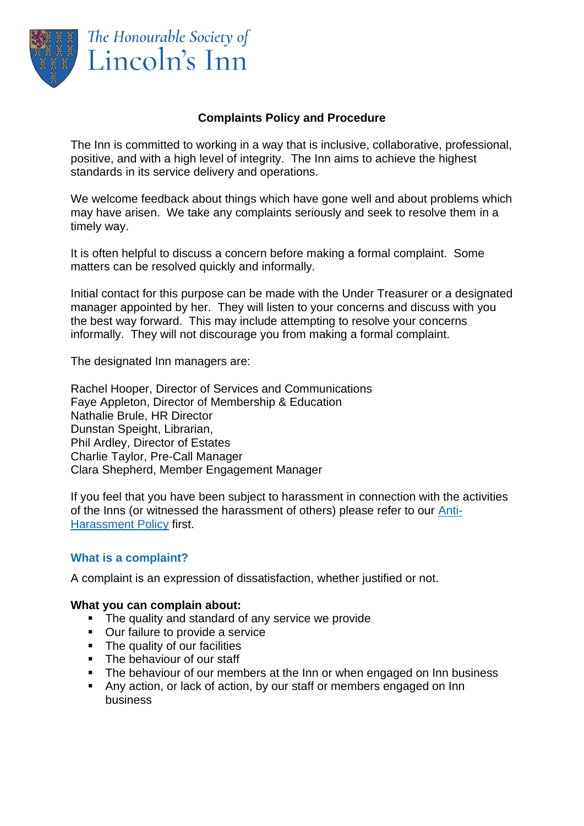

The Honourable Society of Lincoln's Inn

# **Complaints Policy and Procedure**

The Inn is committed to working in a way that is inclusive, collaborative, professional, positive, and with a high level of integrity. The Inn aims to achieve the highest standards in its service delivery and operations.

We welcome feedback about things which have gone well and about problems which may have arisen. We take any complaints seriously and seek to resolve them in a timely way.

It is often helpful to discuss a concern before making a formal complaint. Some matters can be resolved quickly and informally.

Initial contact for this purpose can be made with the Under Treasurer or a designated manager appointed by her. They will listen to your concerns and discuss with you the best way forward. This may include attempting to resolve your concerns informally. They will not discourage you from making a formal complaint.

The designated Inn managers are:

Rachel Hooper, Director of Services and Communications Faye Appleton, Director of Membership & Education Nathalie Brule, HR Director Dunstan Speight, Librarian, Phil Ardley, Director of Estates Charlie Taylor, Pre-Call Manager Clara Shepherd, Member Engagement Manager

If you feel that you have been subject to harassment in connection with the activities of the Inns (or witnessed the harassment of others) please refer to our [Anti-](https://www.lincolnsinn.org.uk/wp-content/uploads/2020/10/Inns-of-Court-Anti-Harassment-Policy.pdf)[Harassment Policy](https://www.lincolnsinn.org.uk/wp-content/uploads/2020/10/Inns-of-Court-Anti-Harassment-Policy.pdf) first.

## **What is a complaint?**

A complaint is an expression of dissatisfaction, whether justified or not.

#### **What you can complain about:**

- The quality and standard of any service we provide
- Our failure to provide a service
- The quality of our facilities
- **•** The behaviour of our staff
- The behaviour of our members at the Inn or when engaged on Inn business
- Any action, or lack of action, by our staff or members engaged on Inn business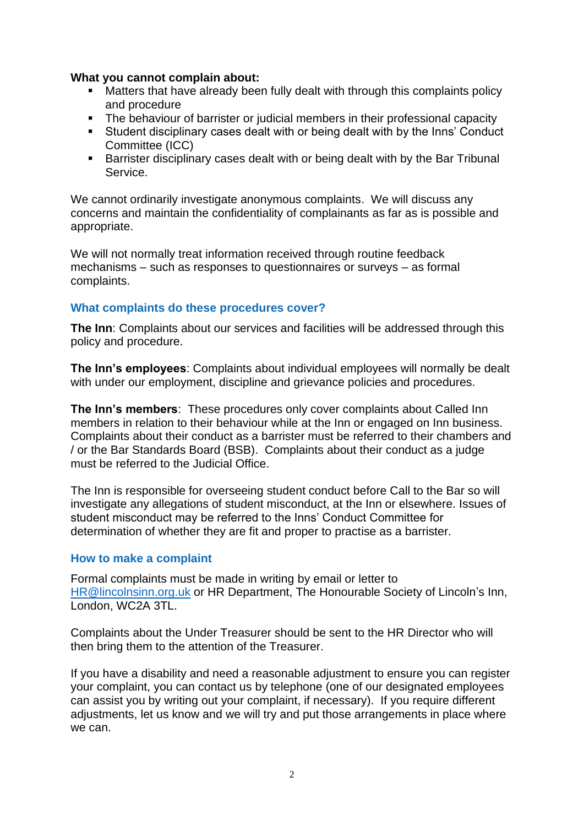#### **What you cannot complain about:**

- Matters that have already been fully dealt with through this complaints policy and procedure
- The behaviour of barrister or judicial members in their professional capacity
- **EXTENDING INTERF IS STARK IN STARK IS STARK IN STARK IN STARK IS CONDUCT FOR STARK IS STARK IN STARK IS STARK I** Committee (ICC)
- Barrister disciplinary cases dealt with or being dealt with by the Bar Tribunal Service.

We cannot ordinarily investigate anonymous complaints. We will discuss any concerns and maintain the confidentiality of complainants as far as is possible and appropriate.

We will not normally treat information received through routine feedback mechanisms – such as responses to questionnaires or surveys – as formal complaints.

## **What complaints do these procedures cover?**

**The Inn**: Complaints about our services and facilities will be addressed through this policy and procedure.

**The Inn's employees**: Complaints about individual employees will normally be dealt with under our employment, discipline and grievance policies and procedures.

**The Inn's members**: These procedures only cover complaints about Called Inn members in relation to their behaviour while at the Inn or engaged on Inn business. Complaints about their conduct as a barrister must be referred to their chambers and / or the Bar Standards Board (BSB). Complaints about their conduct as a judge must be referred to the Judicial Office.

The Inn is responsible for overseeing student conduct before Call to the Bar so will investigate any allegations of student misconduct, at the Inn or elsewhere. Issues of student misconduct may be referred to the Inns' Conduct Committee for determination of whether they are fit and proper to practise as a barrister.

## **How to make a complaint**

Formal complaints must be made in writing by email or letter to [HR@lincolnsinn.org.uk](mailto:HR@lincolnsinn.org.uk) or HR Department, The Honourable Society of Lincoln's Inn, London, WC2A 3TL.

Complaints about the Under Treasurer should be sent to the HR Director who will then bring them to the attention of the Treasurer.

If you have a disability and need a reasonable adjustment to ensure you can register your complaint, you can contact us by telephone (one of our designated employees can assist you by writing out your complaint, if necessary). If you require different adjustments, let us know and we will try and put those arrangements in place where we can.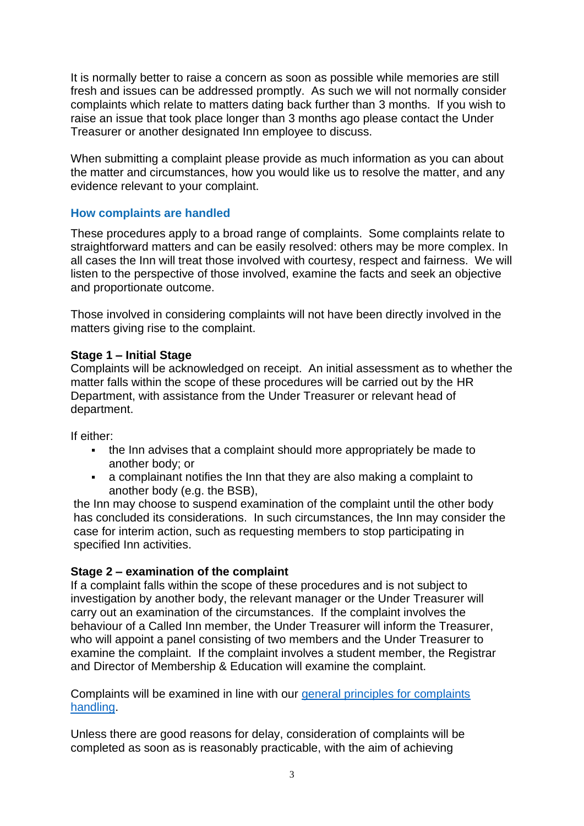It is normally better to raise a concern as soon as possible while memories are still fresh and issues can be addressed promptly. As such we will not normally consider complaints which relate to matters dating back further than 3 months. If you wish to raise an issue that took place longer than 3 months ago please contact the Under Treasurer or another designated Inn employee to discuss.

When submitting a complaint please provide as much information as you can about the matter and circumstances, how you would like us to resolve the matter, and any evidence relevant to your complaint.

# **How complaints are handled**

These procedures apply to a broad range of complaints. Some complaints relate to straightforward matters and can be easily resolved: others may be more complex. In all cases the Inn will treat those involved with courtesy, respect and fairness. We will listen to the perspective of those involved, examine the facts and seek an objective and proportionate outcome.

Those involved in considering complaints will not have been directly involved in the matters giving rise to the complaint.

## **Stage 1 – Initial Stage**

Complaints will be acknowledged on receipt. An initial assessment as to whether the matter falls within the scope of these procedures will be carried out by the HR Department, with assistance from the Under Treasurer or relevant head of department.

If either:

- the Inn advises that a complaint should more appropriately be made to another body; or
- a complainant notifies the Inn that they are also making a complaint to another body (e.g. the BSB),

the Inn may choose to suspend examination of the complaint until the other body has concluded its considerations. In such circumstances, the Inn may consider the case for interim action, such as requesting members to stop participating in specified Inn activities.

## **Stage 2 – examination of the complaint**

If a complaint falls within the scope of these procedures and is not subject to investigation by another body, the relevant manager or the Under Treasurer will carry out an examination of the circumstances. If the complaint involves the behaviour of a Called Inn member, the Under Treasurer will inform the Treasurer, who will appoint a panel consisting of two members and the Under Treasurer to examine the complaint. If the complaint involves a student member, the Registrar and Director of Membership & Education will examine the complaint.

Complaints will be examined in line with our [general principles for complaints](https://www.lincolnsinn.org.uk/wp-content/uploads/2022/01/General-Principles-for-Complaints-Handling.pdf)  [handling.](https://www.lincolnsinn.org.uk/wp-content/uploads/2022/01/General-Principles-for-Complaints-Handling.pdf)

Unless there are good reasons for delay, consideration of complaints will be completed as soon as is reasonably practicable, with the aim of achieving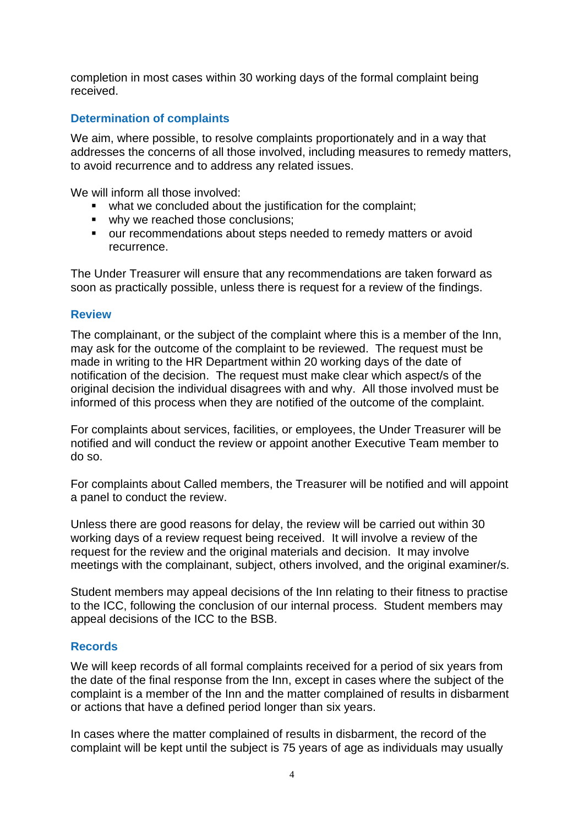completion in most cases within 30 working days of the formal complaint being received.

# **Determination of complaints**

We aim, where possible, to resolve complaints proportionately and in a way that addresses the concerns of all those involved, including measures to remedy matters, to avoid recurrence and to address any related issues.

We will inform all those involved:

- what we concluded about the justification for the complaint;
- why we reached those conclusions;
- our recommendations about steps needed to remedy matters or avoid recurrence.

The Under Treasurer will ensure that any recommendations are taken forward as soon as practically possible, unless there is request for a review of the findings.

#### **Review**

The complainant, or the subject of the complaint where this is a member of the Inn, may ask for the outcome of the complaint to be reviewed. The request must be made in writing to the HR Department within 20 working days of the date of notification of the decision. The request must make clear which aspect/s of the original decision the individual disagrees with and why. All those involved must be informed of this process when they are notified of the outcome of the complaint.

For complaints about services, facilities, or employees, the Under Treasurer will be notified and will conduct the review or appoint another Executive Team member to do so.

For complaints about Called members, the Treasurer will be notified and will appoint a panel to conduct the review.

Unless there are good reasons for delay, the review will be carried out within 30 working days of a review request being received. It will involve a review of the request for the review and the original materials and decision. It may involve meetings with the complainant, subject, others involved, and the original examiner/s.

Student members may appeal decisions of the Inn relating to their fitness to practise to the ICC, following the conclusion of our internal process. Student members may appeal decisions of the ICC to the BSB.

## **Records**

We will keep records of all formal complaints received for a period of six years from the date of the final response from the Inn, except in cases where the subject of the complaint is a member of the Inn and the matter complained of results in disbarment or actions that have a defined period longer than six years.

In cases where the matter complained of results in disbarment, the record of the complaint will be kept until the subject is 75 years of age as individuals may usually